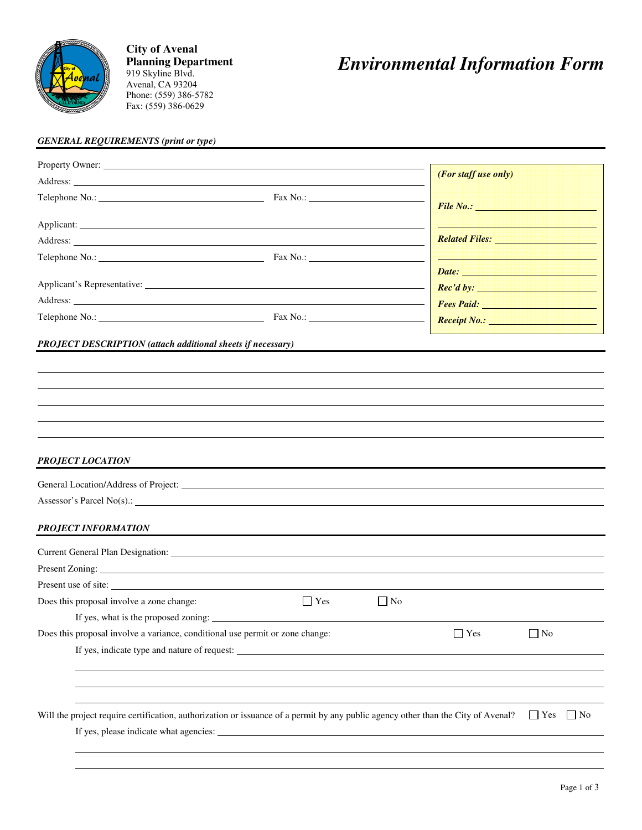

**City of Avenal Planning Department**  919 Skyline Blvd. Avenal, CA 93204 Phone: (559) 386-5782 Fax: (559) 386-0629

## *Environmental Information Form*

## *GENERAL REQUIREMENTS (print or type)*

| Property Owner:                                                                                                                                                                                                                      |            |              |                                                                                                                                                                                                                                     |                      |  |
|--------------------------------------------------------------------------------------------------------------------------------------------------------------------------------------------------------------------------------------|------------|--------------|-------------------------------------------------------------------------------------------------------------------------------------------------------------------------------------------------------------------------------------|----------------------|--|
|                                                                                                                                                                                                                                      |            |              | (For staff use only)                                                                                                                                                                                                                |                      |  |
| Telephone No.: <u>Contract Communication</u> Fax No.: Contract Communication Communication Communication Communication Communication Communication Communication Communication Communication Communication Communication Communicat  |            |              |                                                                                                                                                                                                                                     |                      |  |
|                                                                                                                                                                                                                                      |            |              |                                                                                                                                                                                                                                     |                      |  |
| Address: <u>New York: Address: New York: New York: New York: New York: New York: New York: New York: New York: New York: New York: New York: New York: New York: New York: New York: New York: New York: New York: New York: New</u> |            |              | Related Files: New York 1988                                                                                                                                                                                                        |                      |  |
|                                                                                                                                                                                                                                      |            |              | <u> 1888 - 1888 - 1888 - 1888 - 1888 - 1888 - 18</u>                                                                                                                                                                                |                      |  |
|                                                                                                                                                                                                                                      |            |              | Date: <b>Date: Date: <i>Date:</i></b>                                                                                                                                                                                               |                      |  |
|                                                                                                                                                                                                                                      |            |              | <b>Rec'd by:</b> Note that the same of the same of the same of the same of the same of the same of the same of the same of the same of the same of the same of the same of the same of the same of the same of the same of the same |                      |  |
| Address: <u>Address</u> and the contract of the contract of the contract of the contract of the contract of the contract of the contract of the contract of the contract of the contract of the contract of the contract of the con  |            |              |                                                                                                                                                                                                                                     |                      |  |
|                                                                                                                                                                                                                                      |            |              | Receipt No.: <u>Alexander Monte Adam Base</u>                                                                                                                                                                                       |                      |  |
| <b>PROJECT DESCRIPTION</b> (attach additional sheets if necessary)                                                                                                                                                                   |            |              |                                                                                                                                                                                                                                     |                      |  |
|                                                                                                                                                                                                                                      |            |              |                                                                                                                                                                                                                                     |                      |  |
|                                                                                                                                                                                                                                      |            |              |                                                                                                                                                                                                                                     |                      |  |
|                                                                                                                                                                                                                                      |            |              |                                                                                                                                                                                                                                     |                      |  |
|                                                                                                                                                                                                                                      |            |              |                                                                                                                                                                                                                                     |                      |  |
| <b>PROJECT LOCATION</b>                                                                                                                                                                                                              |            |              |                                                                                                                                                                                                                                     |                      |  |
|                                                                                                                                                                                                                                      |            |              |                                                                                                                                                                                                                                     |                      |  |
|                                                                                                                                                                                                                                      |            |              |                                                                                                                                                                                                                                     |                      |  |
| <b>PROJECT INFORMATION</b>                                                                                                                                                                                                           |            |              |                                                                                                                                                                                                                                     |                      |  |
|                                                                                                                                                                                                                                      |            |              |                                                                                                                                                                                                                                     |                      |  |
|                                                                                                                                                                                                                                      |            |              |                                                                                                                                                                                                                                     |                      |  |
| Present use of site:                                                                                                                                                                                                                 |            |              |                                                                                                                                                                                                                                     |                      |  |
| Does this proposal involve a zone change:                                                                                                                                                                                            | $\Box$ Yes | $\vert$   No |                                                                                                                                                                                                                                     |                      |  |
| If yes, what is the proposed zoning:                                                                                                                                                                                                 |            |              |                                                                                                                                                                                                                                     |                      |  |
| Does this proposal involve a variance, conditional use permit or zone change:                                                                                                                                                        |            |              | $\Box$ Yes                                                                                                                                                                                                                          | $\Box$ No            |  |
|                                                                                                                                                                                                                                      |            |              |                                                                                                                                                                                                                                     |                      |  |
|                                                                                                                                                                                                                                      |            |              |                                                                                                                                                                                                                                     |                      |  |
|                                                                                                                                                                                                                                      |            |              |                                                                                                                                                                                                                                     |                      |  |
| Will the project require certification, authorization or issuance of a permit by any public agency other than the City of Avenal?                                                                                                    |            |              |                                                                                                                                                                                                                                     | $\Box$ Yes $\Box$ No |  |
|                                                                                                                                                                                                                                      |            |              |                                                                                                                                                                                                                                     |                      |  |
|                                                                                                                                                                                                                                      |            |              |                                                                                                                                                                                                                                     |                      |  |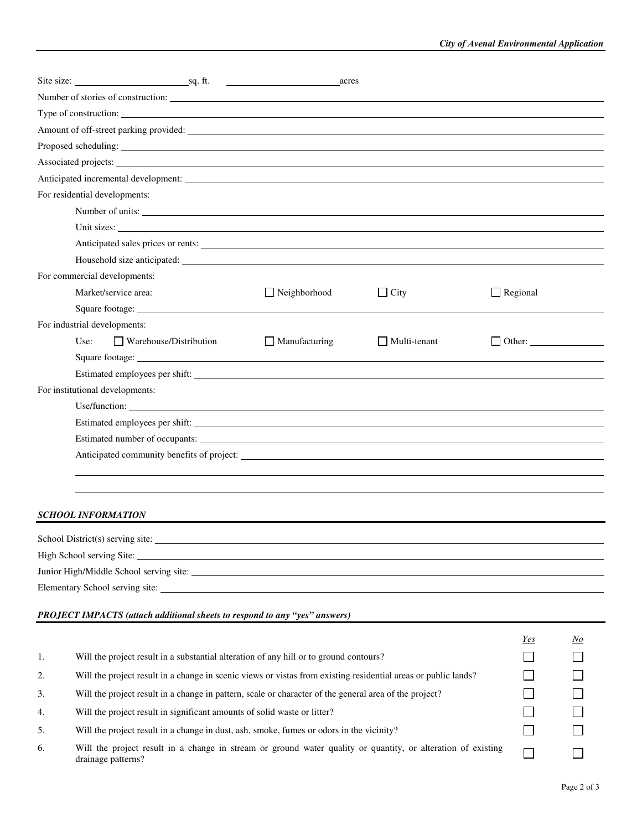|    |                                                                                                                |                                  |  | Site size: <u>sq. ft.</u>                                                                                                                                                                                                            | acres       |                     |  |                 |                                    |
|----|----------------------------------------------------------------------------------------------------------------|----------------------------------|--|--------------------------------------------------------------------------------------------------------------------------------------------------------------------------------------------------------------------------------------|-------------|---------------------|--|-----------------|------------------------------------|
|    |                                                                                                                |                                  |  |                                                                                                                                                                                                                                      |             |                     |  |                 |                                    |
|    |                                                                                                                |                                  |  | Type of construction:                                                                                                                                                                                                                |             |                     |  |                 |                                    |
|    |                                                                                                                |                                  |  |                                                                                                                                                                                                                                      |             |                     |  |                 |                                    |
|    |                                                                                                                |                                  |  |                                                                                                                                                                                                                                      |             |                     |  |                 |                                    |
|    |                                                                                                                |                                  |  | Associated projects: Note that the contract of the contract of the contract of the contract of the contract of the contract of the contract of the contract of the contract of the contract of the contract of the contract of       |             |                     |  |                 |                                    |
|    |                                                                                                                |                                  |  |                                                                                                                                                                                                                                      |             |                     |  |                 |                                    |
|    |                                                                                                                | For residential developments:    |  |                                                                                                                                                                                                                                      |             |                     |  |                 |                                    |
|    |                                                                                                                |                                  |  | Number of units:                                                                                                                                                                                                                     |             |                     |  |                 |                                    |
|    |                                                                                                                |                                  |  | Unit sizes:                                                                                                                                                                                                                          |             |                     |  |                 |                                    |
|    |                                                                                                                |                                  |  |                                                                                                                                                                                                                                      |             |                     |  |                 |                                    |
|    |                                                                                                                |                                  |  |                                                                                                                                                                                                                                      |             |                     |  |                 |                                    |
|    |                                                                                                                | For commercial developments:     |  |                                                                                                                                                                                                                                      |             |                     |  |                 |                                    |
|    |                                                                                                                | Market/service area:             |  | $\Box$ Neighborhood                                                                                                                                                                                                                  | $\Box$ City |                     |  | $\Box$ Regional |                                    |
|    |                                                                                                                |                                  |  |                                                                                                                                                                                                                                      |             |                     |  |                 |                                    |
|    |                                                                                                                | For industrial developments:     |  |                                                                                                                                                                                                                                      |             |                     |  |                 |                                    |
|    | Use:                                                                                                           | $\Box$ Warehouse/Distribution    |  | $\Box$ Manufacturing                                                                                                                                                                                                                 |             | $\Box$ Multi-tenant |  |                 | $\Box$ Other: $\Box$               |
|    |                                                                                                                |                                  |  | Square footage: <u>contact and a series of the series of the series of the series of the series of the series of the series of the series of the series of the series of the series of the series of the series of the series of</u> |             |                     |  |                 |                                    |
|    |                                                                                                                |                                  |  |                                                                                                                                                                                                                                      |             |                     |  |                 |                                    |
|    |                                                                                                                | For institutional developments:  |  |                                                                                                                                                                                                                                      |             |                     |  |                 |                                    |
|    |                                                                                                                |                                  |  |                                                                                                                                                                                                                                      |             |                     |  |                 |                                    |
|    |                                                                                                                |                                  |  | Estimated employees per shift:                                                                                                                                                                                                       |             |                     |  |                 |                                    |
|    |                                                                                                                |                                  |  |                                                                                                                                                                                                                                      |             |                     |  |                 |                                    |
|    |                                                                                                                |                                  |  |                                                                                                                                                                                                                                      |             |                     |  |                 |                                    |
|    |                                                                                                                |                                  |  |                                                                                                                                                                                                                                      |             |                     |  |                 |                                    |
|    |                                                                                                                |                                  |  |                                                                                                                                                                                                                                      |             |                     |  |                 |                                    |
|    |                                                                                                                | <b>SCHOOL INFORMATION</b>        |  |                                                                                                                                                                                                                                      |             |                     |  |                 |                                    |
|    |                                                                                                                | School District(s) serving site: |  |                                                                                                                                                                                                                                      |             |                     |  |                 |                                    |
|    |                                                                                                                |                                  |  |                                                                                                                                                                                                                                      |             |                     |  |                 |                                    |
|    |                                                                                                                |                                  |  | Junior High/Middle School serving site:                                                                                                                                                                                              |             |                     |  |                 |                                    |
|    |                                                                                                                |                                  |  |                                                                                                                                                                                                                                      |             |                     |  |                 |                                    |
|    |                                                                                                                |                                  |  |                                                                                                                                                                                                                                      |             |                     |  |                 |                                    |
|    |                                                                                                                |                                  |  | <b>PROJECT IMPACTS</b> (attach additional sheets to respond to any "yes" answers)                                                                                                                                                    |             |                     |  |                 |                                    |
|    |                                                                                                                |                                  |  |                                                                                                                                                                                                                                      |             |                     |  | Yes             | $\mathbf{\underline{\mathit{No}}}$ |
| 1. |                                                                                                                |                                  |  | Will the project result in a substantial alteration of any hill or to ground contours?                                                                                                                                               |             |                     |  |                 | $\Box$                             |
| 2. | Will the project result in a change in scenic views or vistas from existing residential areas or public lands? |                                  |  |                                                                                                                                                                                                                                      |             |                     |  |                 |                                    |
| 3. | Will the project result in a change in pattern, scale or character of the general area of the project?         |                                  |  |                                                                                                                                                                                                                                      |             |                     |  |                 |                                    |
| 4. | Will the project result in significant amounts of solid waste or litter?                                       |                                  |  |                                                                                                                                                                                                                                      |             | $\blacksquare$      |  |                 |                                    |
| 5. | Will the project result in a change in dust, ash, smoke, fumes or odors in the vicinity?                       |                                  |  |                                                                                                                                                                                                                                      |             |                     |  |                 |                                    |
|    |                                                                                                                |                                  |  | Will the project result in a change in stream or ground water quality or quantity, or alteration of existing                                                                                                                         |             |                     |  |                 |                                    |
| 6. |                                                                                                                | drainage patterns?               |  |                                                                                                                                                                                                                                      |             |                     |  | $\sim$          |                                    |